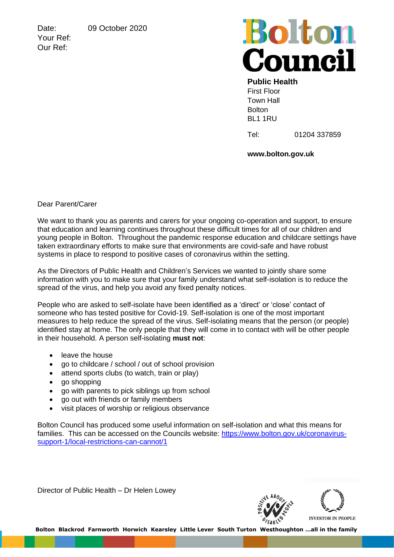Date: 09 October 2020

Your Ref: Our Ref:

## **Bolton**<br>Council

## **Public Health** First Floor

Town Hall Bolton BL1 1RU

Tel: 01204 337859

**www.bolton.gov.uk**

Dear Parent/Carer

We want to thank you as parents and carers for your ongoing co-operation and support, to ensure that education and learning continues throughout these difficult times for all of our children and young people in Bolton. Throughout the pandemic response education and childcare settings have taken extraordinary efforts to make sure that environments are covid-safe and have robust systems in place to respond to positive cases of coronavirus within the setting.

As the Directors of Public Health and Children's Services we wanted to jointly share some information with you to make sure that your family understand what self-isolation is to reduce the spread of the virus, and help you avoid any fixed penalty notices.

People who are asked to self-isolate have been identified as a 'direct' or 'close' contact of someone who has tested positive for Covid-19. Self-isolation is one of the most important measures to help reduce the spread of the virus. Self-isolating means that the person (or people) identified stay at home. The only people that they will come in to contact with will be other people in their household. A person self-isolating **must not**:

- leave the house
- go to childcare / school / out of school provision
- attend sports clubs (to watch, train or play)
- go shopping
- go with parents to pick siblings up from school
- go out with friends or family members
- visit places of worship or religious observance

Bolton Council has produced some useful information on self-isolation and what this means for families. This can be accessed on the Councils website: [https://www.bolton.gov.uk/coronavirus](https://www.bolton.gov.uk/coronavirus-support-1/local-restrictions-can-cannot/1)[support-1/local-restrictions-can-cannot/1](https://www.bolton.gov.uk/coronavirus-support-1/local-restrictions-can-cannot/1)

Director of Public Health – Dr Helen Lowey



 **Bolton Blackrod Farnworth Horwich Kearsley Little Lever South Turton Westhoughton …all in the family**